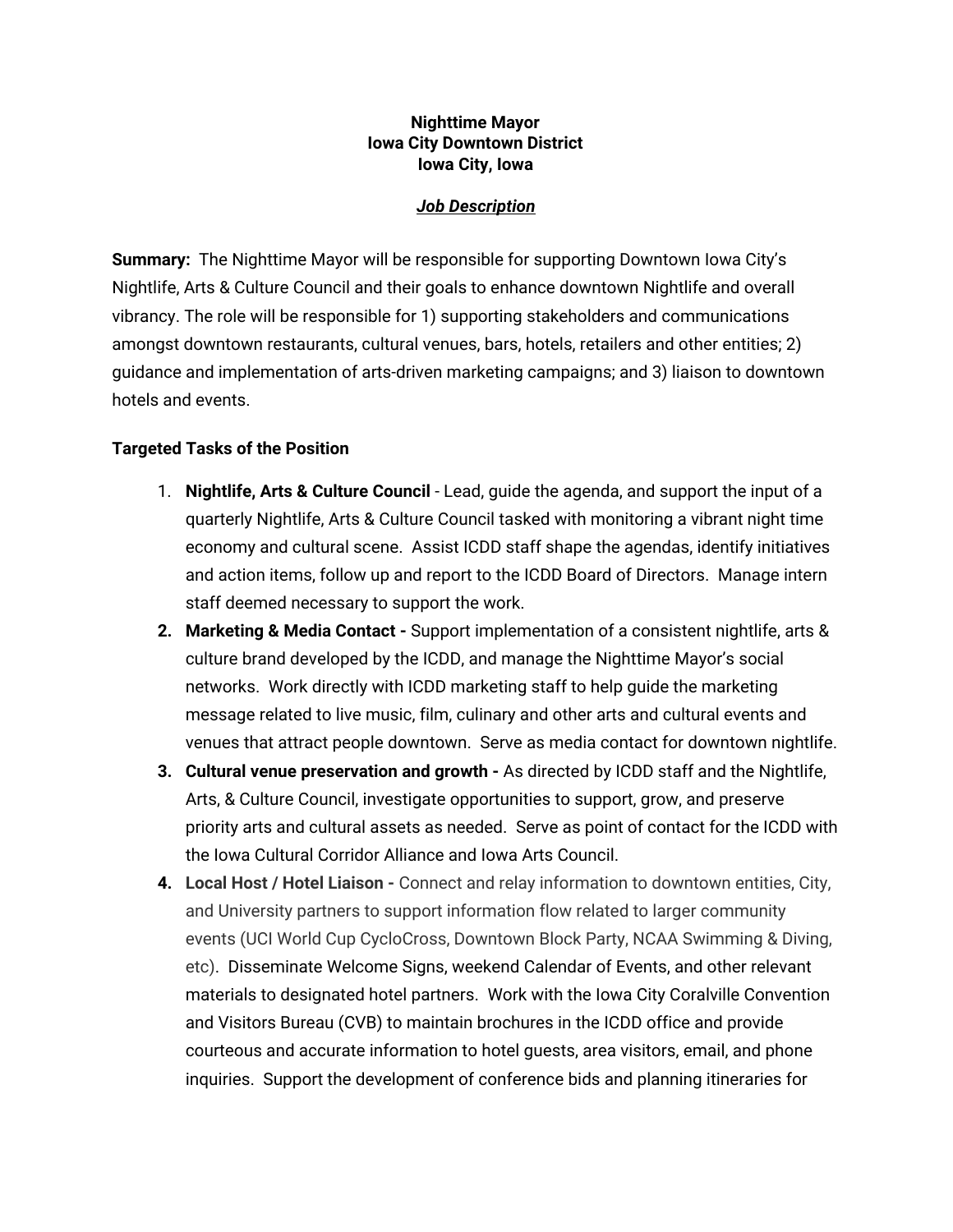### **Nighttime Mayor Iowa City Downtown District Iowa City, Iowa**

#### *Job Description*

**Summary:** The Nighttime Mayor will be responsible for supporting Downtown Iowa City's Nightlife, Arts & Culture Council and their goals to enhance downtown Nightlife and overall vibrancy. The role will be responsible for 1) supporting stakeholders and communications amongst downtown restaurants, cultural venues, bars, hotels, retailers and other entities; 2) guidance and implementation of arts-driven marketing campaigns; and 3) liaison to downtown hotels and events.

#### **Targeted Tasks of the Position**

- 1. **Nightlife, Arts & Culture Council** Lead, guide the agenda, and support the input of a quarterly Nightlife, Arts & Culture Council tasked with monitoring a vibrant night time economy and cultural scene. Assist ICDD staff shape the agendas, identify initiatives and action items, follow up and report to the ICDD Board of Directors. Manage intern staff deemed necessary to support the work.
- **2. Marketing & Media Contact -** Support implementation of a consistent nightlife, arts & culture brand developed by the ICDD, and manage the Nighttime Mayor's social networks. Work directly with ICDD marketing staff to help guide the marketing message related to live music, film, culinary and other arts and cultural events and venues that attract people downtown. Serve as media contact for downtown nightlife.
- **3. Cultural venue preservation and growth -** As directed by ICDD staff and the Nightlife, Arts, & Culture Council, investigate opportunities to support, grow, and preserve priority arts and cultural assets as needed. Serve as point of contact for the ICDD with the Iowa Cultural Corridor Alliance and Iowa Arts Council.
- **4. Local Host / Hotel Liaison -** Connect and relay information to downtown entities, City, and University partners to support information flow related to larger community events (UCI World Cup CycloCross, Downtown Block Party, NCAA Swimming & Diving, etc). Disseminate Welcome Signs, weekend Calendar of Events, and other relevant materials to designated hotel partners. Work with the Iowa City Coralville Convention and Visitors Bureau (CVB) to maintain brochures in the ICDD office and provide courteous and accurate information to hotel guests, area visitors, email, and phone inquiries. Support the development of conference bids and planning itineraries for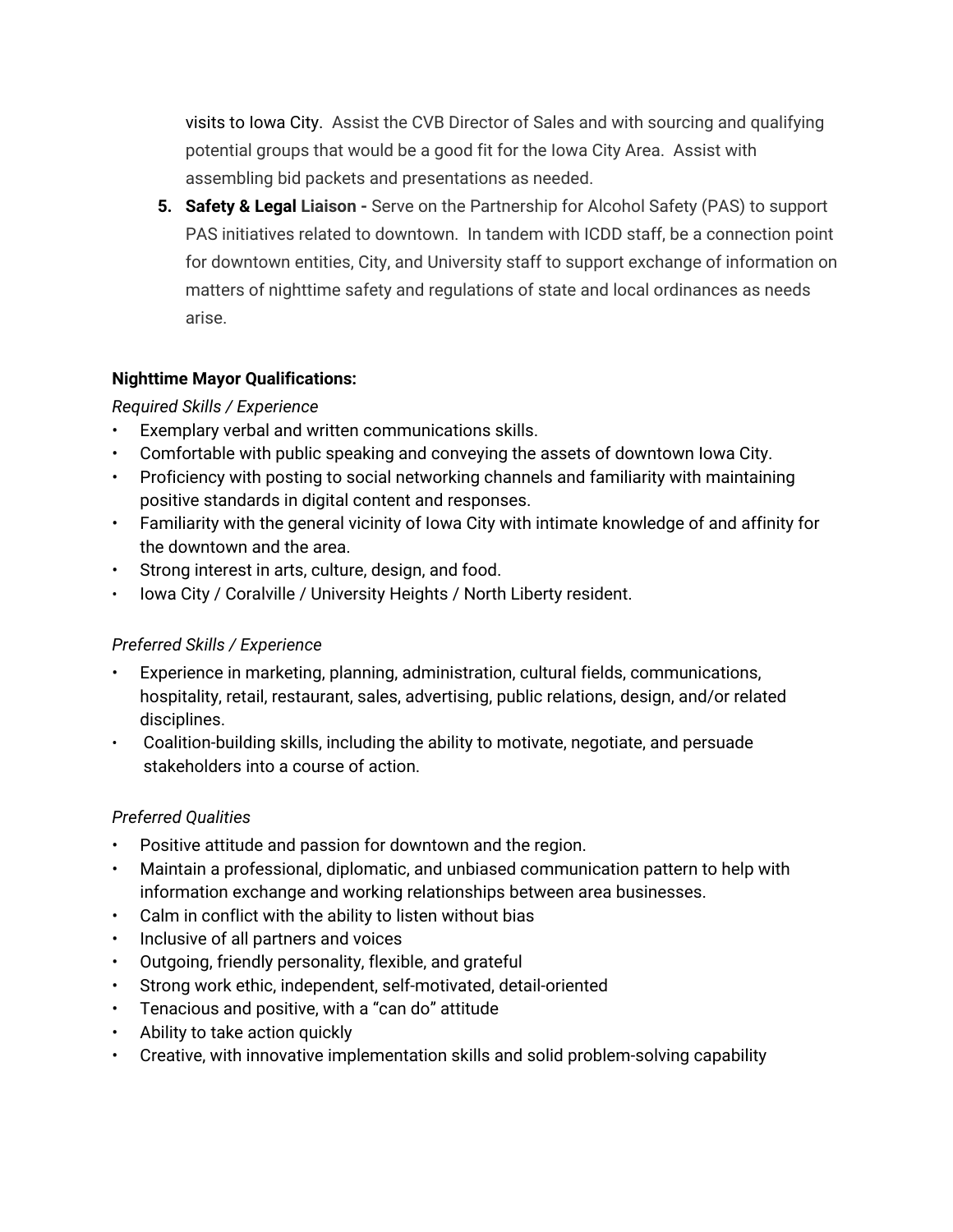visits to Iowa City. Assist the CVB Director of Sales and with sourcing and qualifying potential groups that would be a good fit for the Iowa City Area. Assist with assembling bid packets and presentations as needed.

**5. Safety & Legal Liaison -** Serve on the Partnership for Alcohol Safety (PAS) to support PAS initiatives related to downtown. In tandem with ICDD staff, be a connection point for downtown entities, City, and University staff to support exchange of information on matters of nighttime safety and regulations of state and local ordinances as needs arise.

# **Nighttime Mayor Qualifications:**

# *Required Skills / Experience*

- Exemplary verbal and written communications skills.
- Comfortable with public speaking and conveying the assets of downtown Iowa City.
- Proficiency with posting to social networking channels and familiarity with maintaining positive standards in digital content and responses.
- Familiarity with the general vicinity of Iowa City with intimate knowledge of and affinity for the downtown and the area.
- Strong interest in arts, culture, design, and food.
- Iowa City / Coralville / University Heights / North Liberty resident.

# *Preferred Skills / Experience*

- Experience in marketing, planning, administration, cultural fields, communications, hospitality, retail, restaurant, sales, advertising, public relations, design, and/or related disciplines.
- Coalition-building skills, including the ability to motivate, negotiate, and persuade stakeholders into a course of action.

# *Preferred Qualities*

- Positive attitude and passion for downtown and the region.
- Maintain a professional, diplomatic, and unbiased communication pattern to help with information exchange and working relationships between area businesses.
- Calm in conflict with the ability to listen without bias
- Inclusive of all partners and voices
- Outgoing, friendly personality, flexible, and grateful
- Strong work ethic, independent, self-motivated, detail-oriented
- Tenacious and positive, with a "can do" attitude
- Ability to take action quickly
- Creative, with innovative implementation skills and solid problem-solving capability